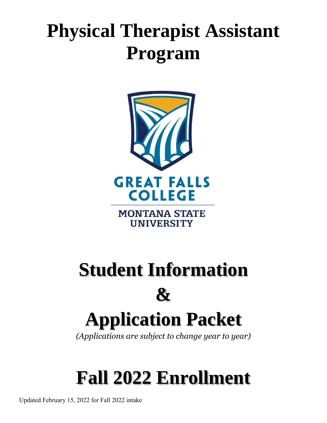# **Physical Therapist Assistant Program**



# **Student Information**   $\mathbf{\mathcal{X}}$

# **Application Packet**

*(Applications are subject to change year to year)*

# **Fall 2022 Enrollment**

Updated February 15, 2022 for Fall 2022 intake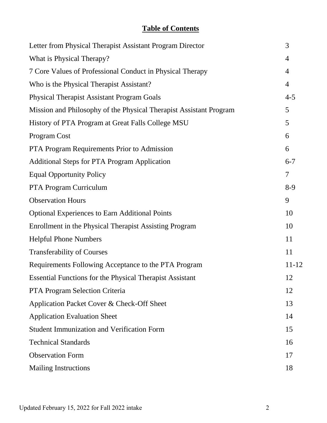# **Table of Contents**

| Letter from Physical Therapist Assistant Program Director          | 3              |
|--------------------------------------------------------------------|----------------|
| What is Physical Therapy?                                          | $\overline{4}$ |
| 7 Core Values of Professional Conduct in Physical Therapy          | $\overline{4}$ |
| Who is the Physical Therapist Assistant?                           | $\overline{4}$ |
| <b>Physical Therapist Assistant Program Goals</b>                  | $4 - 5$        |
| Mission and Philosophy of the Physical Therapist Assistant Program | 5              |
| History of PTA Program at Great Falls College MSU                  | 5              |
| Program Cost                                                       | 6              |
| PTA Program Requirements Prior to Admission                        | 6              |
| <b>Additional Steps for PTA Program Application</b>                | $6 - 7$        |
| <b>Equal Opportunity Policy</b>                                    | 7              |
| PTA Program Curriculum                                             | $8-9$          |
| <b>Observation Hours</b>                                           | 9              |
| <b>Optional Experiences to Earn Additional Points</b>              | 10             |
| Enrollment in the Physical Therapist Assisting Program             | 10             |
| <b>Helpful Phone Numbers</b>                                       | 11             |
| <b>Transferability of Courses</b>                                  | 11             |
| Requirements Following Acceptance to the PTA Program               | 11-12          |
| <b>Essential Functions for the Physical Therapist Assistant</b>    | 12             |
| PTA Program Selection Criteria                                     | 12             |
| Application Packet Cover & Check-Off Sheet                         | 13             |
| <b>Application Evaluation Sheet</b>                                | 14             |
| <b>Student Immunization and Verification Form</b>                  | 15             |
| <b>Technical Standards</b>                                         | 16             |
| <b>Observation Form</b>                                            | 17             |
| <b>Mailing Instructions</b>                                        | 18             |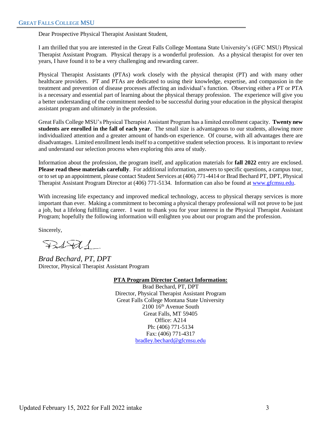Dear Prospective Physical Therapist Assistant Student,

I am thrilled that you are interested in the Great Falls College Montana State University's (GFC MSU) Physical Therapist Assistant Program. Physical therapy is a wonderful profession. As a physical therapist for over ten years, I have found it to be a very challenging and rewarding career.

Physical Therapist Assistants (PTAs) work closely with the physical therapist (PT) and with many other healthcare providers. PT and PTAs are dedicated to using their knowledge, expertise, and compassion in the treatment and prevention of disease processes affecting an individual's function. Observing either a PT or PTA is a necessary and essential part of learning about the physical therapy profession. The experience will give you a better understanding of the commitment needed to be successful during your education in the physical therapist assistant program and ultimately in the profession.

Great Falls College MSU's Physical Therapist Assistant Program has a limited enrollment capacity. **Twenty new students are enrolled in the fall of each year**. The small size is advantageous to our students, allowing more individualized attention and a greater amount of hands-on experience. Of course, with all advantages there are disadvantages. Limited enrollment lends itself to a competitive student selection process. It is important to review and understand our selection process when exploring this area of study.

Information about the profession, the program itself, and application materials for **fall 2022** entry are enclosed. **Please read these materials carefully**. For additional information, answers to specific questions, a campus tour, or to set up an appointment, please contact Student Services at (406) 771-4414 or Brad Bechard PT, DPT, Physical Therapist Assistant Program Director at (406) 771-5134. Information can also be found at [www.gfcmsu.edu.](http://www.gfcmsu.edu/)

With increasing life expectancy and improved medical technology, access to physical therapy services is more important than ever. Making a commitment to becoming a physical therapy professional will not prove to be just a job, but a lifelong fulfilling career. I want to thank you for your interest in the Physical Therapist Assistant Program; hopefully the following information will enlighten you about our program and the profession.

Sincerely,

 $BdH$ 

*Brad Bechard, PT, DPT* Director, Physical Therapist Assistant Program

**PTA Program Director Contact Information:** Brad Bechard, PT, DPT Director, Physical Therapist Assistant Program Great Falls College Montana State University 2100 16th Avenue South Great Falls, MT 59405 Office: A214 Ph: (406) 771-5134 Fax: (406) 771-4317 [bradley.bechard@gfcmsu.edu](mailto:bradley.bechard@gfcmsu.edu)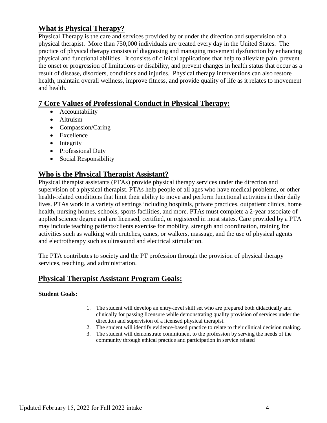## **What is Physical Therapy?**

Physical Therapy is the care and services provided by or under the direction and supervision of a physical therapist. More than 750,000 individuals are treated every day in the United States. The practice of physical therapy consists of diagnosing and managing movement dysfunction by enhancing physical and functional abilities. It consists of clinical applications that help to alleviate pain, prevent the onset or progression of limitations or disability, and prevent changes in health status that occur as a result of disease, disorders, conditions and injuries. Physical therapy interventions can also restore health, maintain overall wellness, improve fitness, and provide quality of life as it relates to movement and health.

### **7 Core Values of Professional Conduct in Physical Therapy:**

- Accountability
- Altruism
- Compassion/Caring
- Excellence
- Integrity
- Professional Duty
- Social Responsibility

### **Who is the Physical Therapist Assistant?**

Physical therapist assistants (PTAs) provide physical therapy services under the direction and supervision of a physical therapist. PTAs help people of all ages who have medical problems, or other health-related conditions that limit their ability to move and perform functional activities in their daily lives. PTAs work in a variety of settings including hospitals, private practices, outpatient clinics, home health, nursing homes, schools, sports facilities, and more. PTAs must complete a 2-year associate of applied science degree and are licensed, certified, or registered in most states. Care provided by a PTA may include teaching patients/clients exercise for mobility, strength and coordination, training for activities such as walking with crutches, canes, or walkers, massage, and the use of physical agents and electrotherapy such as ultrasound and electrical stimulation.

The PTA contributes to society and the PT profession through the provision of physical therapy services, teaching, and administration.

## **Physical Therapist Assistant Program Goals:**

#### **Student Goals:**

- 1. The student will develop an entry-level skill set who are prepared both didactically and clinically for passing licensure while demonstrating quality provision of services under the direction and supervision of a licensed physical therapist.
- 2. The student will identify evidence-based practice to relate to their clinical decision making.
- 3. The student will demonstrate commitment to the profession by serving the needs of the community through ethical practice and participation in service related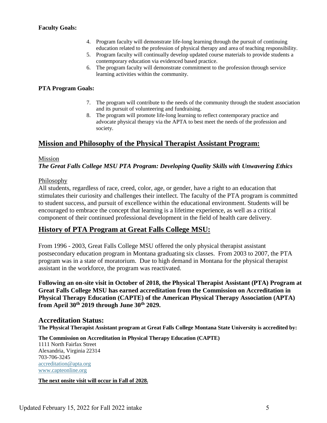#### **Faculty Goals:**

- 4. Program faculty will demonstrate life-long learning through the pursuit of continuing education related to the profession of physical therapy and area of teaching responsibility.
- 5. Program faculty will continually develop updated course materials to provide students a contemporary education via evidenced based practice.
- 6. The program faculty will demonstrate commitment to the profession through service learning activities within the community.

#### **PTA Program Goals:**

- 7. The program will contribute to the needs of the community through the student association and its pursuit of volunteering and fundraising.
- 8. The program will promote life-long learning to reflect contemporary practice and advocate physical therapy via the APTA to best meet the needs of the profession and society.

### **Mission and Philosophy of the Physical Therapist Assistant Program:**

#### Mission

*The Great Falls College MSU PTA Program: Developing Quality Skills with Unwavering Ethics*

#### Philosophy

All students, regardless of race, creed, color, age, or gender, have a right to an education that stimulates their curiosity and challenges their intellect. The faculty of the PTA program is committed to student success, and pursuit of excellence within the educational environment. Students will be encouraged to embrace the concept that learning is a lifetime experience, as well as a critical component of their continued professional development in the field of health care delivery.

#### **History of PTA Program at Great Falls College MSU:**

From 1996 - 2003, Great Falls College MSU offered the only physical therapist assistant postsecondary education program in Montana graduating six classes. From 2003 to 2007, the PTA program was in a state of moratorium. Due to high demand in Montana for the physical therapist assistant in the workforce, the program was reactivated.

**Following an on-site visit in October of 2018, the Physical Therapist Assistant (PTA) Program at Great Falls College MSU has earned accreditation from the Commission on Accreditation in Physical Therapy Education (CAPTE) of the American Physical Therapy Association (APTA) from April 30th 2019 through June 30th 2029.** 

#### **Accreditation Status:**

**The Physical Therapist Assistant program at Great Falls College Montana State University is accredited by:**

**The Commission on Accreditation in Physical Therapy Education (CAPTE)** 1111 North Fairfax Street Alexandria, Virginia 22314 703-706-3245 [accreditation@apta.org](mailto:accreditation@apta.org) [www.capteonline.org](http://www.capteonline.org/)

**The next onsite visit will occur in Fall of 2028.**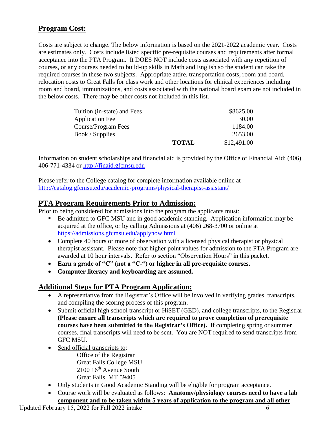## **Program Cost:**

Costs are subject to change. The below information is based on the 2021-2022 academic year. Costs are estimates only. Costs include listed specific pre-requisite courses and requirements after formal acceptance into the PTA Program. It DOES NOT include costs associated with any repetition of courses, or any courses needed to build-up skills in Math and English so the student can take the required courses in these two subjects. Appropriate attire, transportation costs, room and board, relocation costs to Great Falls for class work and other locations for clinical experiences including room and board, immunizations, and costs associated with the national board exam are not included in the below costs. There may be other costs not included in this list.

| Tuition (in-state) and Fees |              | \$8625.00   |
|-----------------------------|--------------|-------------|
| <b>Application Fee</b>      |              | 30.00       |
| Course/Program Fees         |              | 1184.00     |
| Book / Supplies             |              | 2653.00     |
|                             | <b>TOTAL</b> | \$12,491.00 |

Information on student scholarships and financial aid is provided by the Office of Financial Aid: (406) 406-771-4334 or [http://finaid.gfcmsu.edu](http://finaid.gfcmsu.edu/)

Please refer to the College catalog for complete information available online at <http://catalog.gfcmsu.edu/academic-programs/physical-therapist-assistant/>

### **PTA Program Requirements Prior to Admission:**

Prior to being considered for admissions into the program the applicants must:

- Be admitted to GFC MSU and in good academic standing. Application information may be acquired at the office, or by calling Admissions at (406) 268-3700 or online at <https://admissions.gfcmsu.edu/applynow.html>
- Complete 40 hours or more of observation with a licensed physical therapist or physical therapist assistant. Please note that higher point values for admission to the PTA Program are awarded at 10 hour intervals. Refer to section "Observation Hours" in this packet.
- **Earn a grade of "C" (not a "C-") or higher in all pre-requisite courses.**
- **Computer literacy and keyboarding are assumed.**

### **Additional Steps for PTA Program Application:**

- A representative from the Registrar's Office will be involved in verifying grades, transcripts, and compiling the scoring process of this program.
- Submit official high school transcript or HiSET (GED), and college transcripts, to the Registrar **(Please ensure all transcripts which are required to prove completion of prerequisite courses have been submitted to the Registrar's Office).** If completing spring or summer courses, final transcripts will need to be sent. You are NOT required to send transcripts from GFC MSU.
- Send official transcripts to:
	- Office of the Registrar Great Falls College MSU 2100 16th Avenue South Great Falls, MT 59405
- Only students in Good Academic Standing will be eligible for program acceptance.
- Course work will be evaluated as follows: **Anatomy/physiology courses need to have a lab component and to be taken within 5 years of application to the program and all other**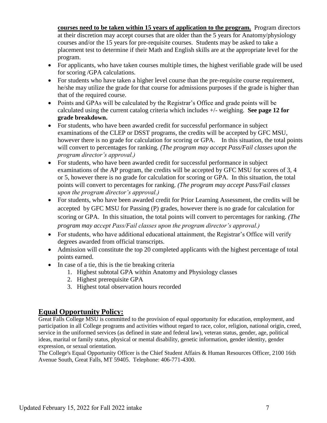**courses need to be taken within 15 years of application to the program.** Program directors at their discretion may accept courses that are older than the 5 years for Anatomy/physiology courses and/or the 15 years for pre-requisite courses. Students may be asked to take a placement test to determine if their Math and English skills are at the appropriate level for the program.

- For applicants, who have taken courses multiple times, the highest verifiable grade will be used for scoring /GPA calculations.
- For students who have taken a higher level course than the pre-requisite course requirement, he/she may utilize the grade for that course for admissions purposes if the grade is higher than that of the required course.
- Points and GPAs will be calculated by the Registrar's Office and grade points will be calculated using the current catalog criteria which includes +/- weighing. **See page 12 for grade breakdown.**
- For students, who have been awarded credit for successful performance in subject examinations of the CLEP or DSST programs, the credits will be accepted by GFC MSU, however there is no grade for calculation for scoring or GPA. In this situation, the total points will convert to percentages for ranking. *(The program may accept Pass/Fail classes upon the program director's approval.)*
- For students, who have been awarded credit for successful performance in subject examinations of the AP program, the credits will be accepted by GFC MSU for scores of 3, 4 or 5, however there is no grade for calculation for scoring or GPA. In this situation, the total points will convert to percentages for ranking. *(The program may accept Pass/Fail classes upon the program director's approval.)*
- For students, who have been awarded credit for Prior Learning Assessment, the credits will be accepted by GFC MSU for Passing (P) grades, however there is no grade for calculation for scoring or GPA. In this situation, the total points will convert to percentages for ranking. *(The program may accept Pass/Fail classes upon the program director's approval.)*
- For students, who have additional educational attainment, the Registrar's Office will verify degrees awarded from official transcripts.
- Admission will constitute the top 20 completed applicants with the highest percentage of total points earned.
- In case of a tie, this is the tie breaking criteria
	- 1. Highest subtotal GPA within Anatomy and Physiology classes
	- 2. Highest prerequisite GPA
	- 3. Highest total observation hours recorded

## **Equal Opportunity Policy:**

Great Falls College MSU is committed to the provision of equal opportunity for education, employment, and participation in all College programs and activities without regard to race, color, religion, national origin, creed, service in the uniformed services (as defined in state and federal law), veteran status, gender, age, political ideas, marital or family status, physical or mental disability, genetic information, gender identity, gender expression, or sexual orientation.

The College's Equal Opportunity Officer is the Chief Student Affairs & Human Resources Officer, 2100 16th Avenue South, Great Falls, MT 59405. Telephone: 406-771-4300.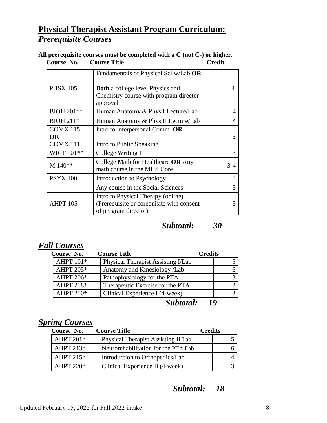# **Physical Therapist Assistant Program Curriculum:** *Prerequisite Courses*

**All prerequisite courses must be completed with a C (not C-) or higher**.  **Course Title** 

| <b>PHSX 105</b>                           | Fundamentals of Physical Sci w/Lab OR<br><b>Both</b> a college level Physics and<br>Chemistry course with program director<br>approval |       |
|-------------------------------------------|----------------------------------------------------------------------------------------------------------------------------------------|-------|
| BIOH 201**                                | Human Anatomy & Phys I Lecture/Lab                                                                                                     | 4     |
| <b>BIOH 211*</b>                          | Human Anatomy & Phys II Lecture/Lab                                                                                                    |       |
| <b>COMX 115</b><br>OR.<br><b>COMX 111</b> | Intro to Interpersonal Comm OR<br>Intro to Public Speaking                                                                             |       |
| WRIT 101**                                | College Writing I                                                                                                                      | 3     |
| M 140**                                   | College Math for Healthcare OR Any<br>math course in the MUS Core                                                                      | $3-4$ |
| <b>PSYX 100</b>                           | Introduction to Psychology                                                                                                             | 3     |
|                                           | Any course in the Social Sciences                                                                                                      | 3     |
| <b>AHPT 105</b>                           | Intro to Physical Therapy (online)<br>(Prerequisite or corequisite with consent<br>of program director)                                |       |

## *Subtotal: 30*

## *Fall Courses*

| Course No.       | <b>Course Title</b>                | <b>Credits</b> |
|------------------|------------------------------------|----------------|
| <b>AHPT 101*</b> | Physical Therapist Assisting I/Lab |                |
| <b>AHPT 205*</b> | Anatomy and Kinesiology /Lab       |                |
| <b>AHPT 206*</b> | Pathophysiology for the PTA        |                |
| AHPT 218*        | Therapeutic Exercise for the PTA   |                |
| <b>AHPT 210*</b> | Clinical Experience I (4-week)     |                |
|                  | Subtotal:                          | 10             |

## *Spring Courses*

| Course No.       | <b>Course Title</b>                        | <b>Credits</b> |  |
|------------------|--------------------------------------------|----------------|--|
| AHPT 201*        | <b>Physical Therapist Assisting II Lab</b> |                |  |
| AHPT $213*$      | Neurorehabilitation for the PTA Lab        |                |  |
| AHPT $215*$      | Introduction to Orthopedics/Lab            |                |  |
| <b>AHPT 220*</b> | Clinical Experience II (4-week)            |                |  |

## *Subtotal: 18*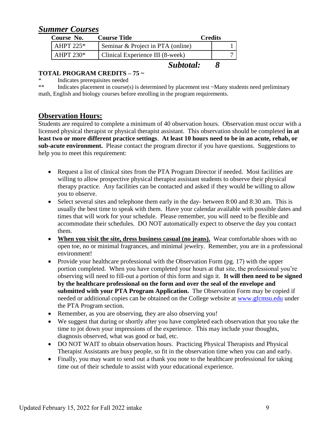## *Summer Courses*

| Course No.  | <b>Course Title</b>               | <b>Credits</b> |  |
|-------------|-----------------------------------|----------------|--|
| AHPT $225*$ | Seminar & Project in PTA (online) |                |  |
| AHPT $230*$ | Clinical Experience III (8-week)  |                |  |
|             | Subtotal:                         |                |  |

#### **TOTAL PROGRAM CREDITS – 75 ~**

\* Indicates prerequisites needed<br>\*\* Indicates placement in course(see

Indicates placement in course(s) is determined by placement test  $\sim$ Many students need preliminary math, English and biology courses before enrolling in the program requirements.

### **Observation Hours:**

Students are required to complete a minimum of 40 observation hours. Observation must occur with a licensed physical therapist or physical therapist assistant. This observation should be completed **in at least two or more different practice settings**. **At least 10 hours need to be in an acute, rehab, or sub-acute environment.** Please contact the program director if you have questions. Suggestions to help you to meet this requirement:

- Request a list of clinical sites from the PTA Program Director if needed. Most facilities are willing to allow prospective physical therapist assistant students to observe their physical therapy practice. Any facilities can be contacted and asked if they would be willing to allow you to observe.
- Select several sites and telephone them early in the day- between 8:00 and 8:30 am. This is usually the best time to speak with them. Have your calendar available with possible dates and times that will work for your schedule. Please remember, you will need to be flexible and accommodate their schedules. DO NOT automatically expect to observe the day you contact them.
- **When you visit the site, dress business casual (no jeans).** Wear comfortable shoes with no open toe, no or minimal fragrances, and minimal jewelry. Remember, you are in a professional environment!
- Provide your healthcare professional with the Observation Form (pg. 17) with the upper portion completed. When you have completed your hours at that site, the professional you're observing will need to fill-out a portion of this form and sign it. **It will then need to be signed by the healthcare professional on the form and over the seal of the envelope and submitted with your PTA Program Application.** The Observation Form may be copied if needed or additional copies can be obtained on the College website at [www.gfcmsu.edu](http://www.gfcmsu.edu/) under the PTA Program section.
- Remember, as you are observing, they are also observing you!
- We suggest that during or shortly after you have completed each observation that you take the time to jot down your impressions of the experience. This may include your thoughts, diagnosis observed, what was good or bad, etc.
- DO NOT WAIT to obtain observation hours. Practicing Physical Therapists and Physical Therapist Assistants are busy people, so fit in the observation time when you can and early.
- Finally, you may want to send out a thank you note to the healthcare professional for taking time out of their schedule to assist with your educational experience.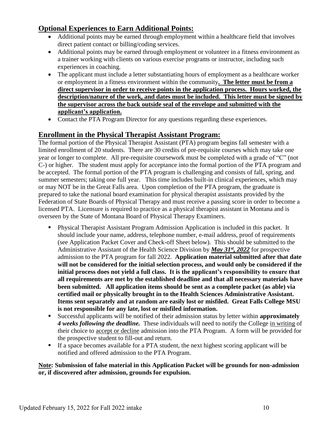## **Optional Experiences to Earn Additional Points:**

- Additional points may be earned through employment within a healthcare field that involves direct patient contact or billing/coding services.
- Additional points may be earned through employment or volunteer in a fitness environment as a trainer working with clients on various exercise programs or instructor, including such experiences in coaching.
- The applicant must include a letter substantiating hours of employment as a healthcare worker or employment in a fitness environment within the community**. The letter must be from a direct supervisor in order to receive points in the application process. Hours worked, the description/nature of the work, and dates must be included. This letter must be signed by the supervisor across the back outside seal of the envelope and submitted with the applicant's application.**
- Contact the PTA Program Director for any questions regarding these experiences.

### **Enrollment in the Physical Therapist Assistant Program:**

The formal portion of the Physical Therapist Assistant (PTA) program begins fall semester with a limited enrollment of 20 students. There are 30 credits of pre-requisite courses which may take one year or longer to complete. All pre-requisite coursework must be completed with a grade of "C" (not C-) or higher. The student must apply for acceptance into the formal portion of the PTA program and be accepted. The formal portion of the PTA program is challenging and consists of fall, spring, and summer semesters; taking one full year. This time includes built-in clinical experiences, which may or may NOT be in the Great Falls area. Upon completion of the PTA program, the graduate is prepared to take the national board examination for physical therapist assistants provided by the Federation of State Boards of Physical Therapy and must receive a passing score in order to become a licensed PTA. Licensure is required to practice as a physical therapist assistant in Montana and is overseen by the State of Montana Board of Physical Therapy Examiners.

- Physical Therapist Assistant Program Admission Application is included in this packet. It should include your name, address, telephone number, e-mail address, proof of requirements (see Application Packet Cover and Check-off Sheet below). This should be submitted to the Administrative Assistant of the Health Science Division by *May 31st, 2022* for prospective admission to the PTA program for fall 2022. **Application material submitted after that date will not be considered for the initial selection process, and would only be considered if the initial process does not yield a full class. It is the applicant's responsibility to ensure that all requirements are met by the established deadline and that all necessary materials have been submitted. All application items should be sent as a complete packet (as able) via certified mail or physically brought in to the Health Sciences Administrative Assistant. Items sent separately and at random are easily lost or misfiled. Great Falls College MSU is not responsible for any late, lost or misfiled information.**
- Successful applicants will be notified of their admission status by letter within **approximately**  *4 weeks following the deadline.* These individuals will need to notify the College in writing of their choice to accept or decline admission into the PTA Program. A form will be provided for the prospective student to fill-out and return.
- If a space becomes available for a PTA student, the next highest scoring applicant will be notified and offered admission to the PTA Program.

#### **Note: Submission of false material in this Application Packet will be grounds for non-admission or, if discovered after admission, grounds for expulsion.**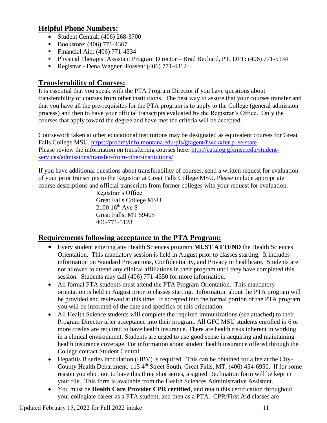## **Helpful Phone Numbers:**

- Student Central: (406) 268-3700
- Bookstore: (406) 771-4367
- **Financial Aid: (406) 771-4334**
- Physical Therapist Assistant Program Director Brad Bechard, PT, DPT: (406) 771-5134
- Registrar Dena Wagner Fossen: (406) 771-4312

## **Transferability of Courses:**

It is essential that you speak with the PTA Program Director if you have questions about transferability of courses from other institutions. The best way to assure that your courses transfer and that you have all the pre-requisites for the PTA program is to apply to the College (general admission process) and then to have your official transcripts evaluated by the Registrar's Office. Only the courses that apply toward the degree and have met the criteria will be accepted.

Coursework taken at other educational institutions may be designated as equivalent courses for Great Falls College MSU. [https://prodmyinfo.montana.edu/pls/gfagent/hwzkxfer.p\\_selstate](https://prodmyinfo.montana.edu/pls/gfagent/hwzkxfer.p_selstate) Please review the information on transferring courses here: [http://catalog.gfcmsu.edu/student](http://catalog.gfcmsu.edu/student-services/admissions/transfer-from-other-institutions/)[services/admissions/transfer-from-other-institutions/](http://catalog.gfcmsu.edu/student-services/admissions/transfer-from-other-institutions/)

If you have additional questions about transferability of courses, send a written request for evaluation of your prior transcripts to the Registrar at Great Falls College MSU. Please include appropriate course descriptions and official transcripts from former colleges with your request for evaluation.

> Registrar's Office Great Falls College MSU  $2100$   $16^{th}$  Ave S Great Falls, MT 59405 406-771-5128

## **Requirements following acceptance to the PTA Program:**

- Every student entering any Health Sciences program **MUST ATTEND** the Health Sciences Orientation. This mandatory session is held in August prior to classes starting. It includes information on Standard Precautions, Confidentiality, and Privacy in healthcare. Students are not allowed to attend any clinical affiliations in their program until they have completed this session. Students may call (406) 771-4350 for more information.
- All formal PTA students must attend the PTA Program Orientation. This mandatory orientation is held in August prior to classes starting. Information about the PTA program will be provided and reviewed at this time. If accepted into the formal portion of the PTA program, you will be informed of the date and specifics of this orientation.
- All Health Science students will complete the required immunizations (see attached) to their Program Director after acceptance into their program. All GFC MSU students enrolled in 6 or more credits are required to have health insurance. There are health risks inherent in working in a clinical environment. Students are urged to use good sense in acquiring and maintaining health insurance coverage. For information about student health insurance offered through the College contact Student Central.
- Hepatitis B series inoculation (HBV) is required. This can be obtained for a fee at the City-County Health Department,  $115\,4^{\text{th}}$  Street South, Great Falls, MT, (406) 454-6950. If for some reason you elect not to have this three shot series, a signed Declination form will be kept in your file. This form is available from the Health Sciences Administrative Assistant.
- You must be **Health Care Provider CPR certified**, and retain this certification throughout your collegiate career as a PTA student, and then as a PTA. CPR/First Aid classes are

Updated February 15, 2022 for Fall 2022 intake 11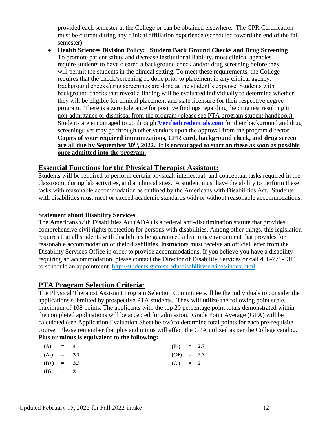provided each semester at the College or can be obtained elsewhere. The CPR Certification must be current during any clinical affiliation experience (scheduled toward the end of the fall semester).

 **Health Sciences Division Policy: Student Back Ground Checks and Drug Screening** To promote patient safety and decrease institutional liability, most clinical agencies require students to have cleared a background check and/or drug screening before they will permit the students in the clinical setting. To meet these requirements, the College requires that the check/screening be done prior to placement in any clinical agency. Background checks/drug screenings are done at the student's expense. Students with background checks that reveal a finding will be evaluated individually to determine whether they will be eligible for clinical placement and state licensure for their respective degree program. There is a zero tolerance for positive findings regarding the drug test resulting in non-admittance or dismissal from the program (please see PTA program student handbook). Students are encouraged to go through **[Verifiedcredentials.com](file:///C:/Users/t42j396/Downloads/Verifiedcredentials.com)** for their background and drug screenings yet may go through other vendors upon the approval from the program director. **Copies of your required immunizations, CPR card, background check, and drug screen are all due by September 30th, 2022. It is encouraged to start on these as soon as possible once admitted into the program.** 

#### **Essential Functions for the Physical Therapist Assistant:**

Students will be required to perform certain physical, intellectual, and conceptual tasks required in the classroom, during lab activities, and at clinical sites. A student must have the ability to perform these tasks with reasonable accommodation as outlined by the Americans with Disabilities Act. Students with disabilities must meet or exceed academic standards with or without reasonable accommodations.

#### **Statement about Disability Services**

The Americans with Disabilities Act (ADA) is a federal anti-discrimination statute that provides comprehensive civil rights protection for persons with disabilities. Among other things, this legislation requires that all students with disabilities be guaranteed a learning environment that provides for reasonable accommodation of their disabilities. Instructors must receive an official letter from the Disability Services Office in order to provide accommodations. If you believe you have a disability requiring an accommodation, please contact the Director of Disability Services or call 406-771-4311 to schedule an appointment.<http://students.gfcmsu.edu/disabilityservices/index.html>

#### **PTA Program Selection Criteria:**

The Physical Therapist Assistant Program Selection Committee will be the individuals to consider the applications submitted by prospective PTA students. They will utilize the following point scale, maximum of 108 points. The applicants with the top 20 percentage point totals demonstrated within the completed applications will be accepted for admission. Grade Point Average (GPA) will be calculated (see Application Evaluation Sheet below) to determine total points for each pre-requisite course. Please remember that plus and minus will affect the GPA utilized as per the College catalog. **Plus or minus is equivalent to the following:**

| (A)          | $= 4$ | $(B-) = 2.7$ |  |
|--------------|-------|--------------|--|
| $(A-) = 3.7$ |       | $(C+) = 2.3$ |  |
| $(B+) = 3.3$ |       | $(C) = 2$    |  |
| (B) = 3      |       |              |  |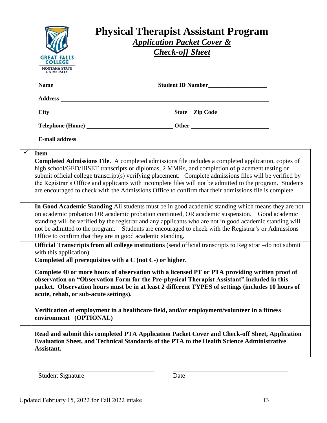| <b>GREAT FALLS</b><br><b>COLLEGE</b><br><b>MONTANA STATE</b><br><b>UNIVERSITY</b> | <b>Physical Therapist Assistant Program</b><br><b>Application Packet Cover &amp;</b><br><b>Check-off Sheet</b>                                                                                                                                                                                                                                                                                                                                                                                                                        |  |
|-----------------------------------------------------------------------------------|---------------------------------------------------------------------------------------------------------------------------------------------------------------------------------------------------------------------------------------------------------------------------------------------------------------------------------------------------------------------------------------------------------------------------------------------------------------------------------------------------------------------------------------|--|
|                                                                                   |                                                                                                                                                                                                                                                                                                                                                                                                                                                                                                                                       |  |
|                                                                                   |                                                                                                                                                                                                                                                                                                                                                                                                                                                                                                                                       |  |
|                                                                                   |                                                                                                                                                                                                                                                                                                                                                                                                                                                                                                                                       |  |
|                                                                                   |                                                                                                                                                                                                                                                                                                                                                                                                                                                                                                                                       |  |
|                                                                                   |                                                                                                                                                                                                                                                                                                                                                                                                                                                                                                                                       |  |
| <b>Item</b>                                                                       |                                                                                                                                                                                                                                                                                                                                                                                                                                                                                                                                       |  |
|                                                                                   | Completed Admissions File. A completed admissions file includes a completed application, copies of<br>high school/GED/HiSET transcripts or diplomas, 2 MMRs, and completion of placement testing or<br>submit official college transcript(s) verifying placement. Complete admissions files will be verified by<br>the Registrar's Office and applicants with incomplete files will not be admitted to the program. Students<br>are encouraged to check with the Admissions Office to confirm that their admissions file is complete. |  |
|                                                                                   | In Good Academic Standing All students must be in good academic standing which means they are not<br>on academic probation OR academic probation continued, OR academic suspension. Good academic<br>standing will be verified by the registrar and any applicants who are not in good academic standing will<br>not be admitted to the program. Students are encouraged to check with the Registrar's or Admissions<br>Office to confirm that they are in good academic standing.                                                    |  |
| with this application).                                                           | Official Transcripts from all college institutions (send official transcripts to Registrar -do not submit                                                                                                                                                                                                                                                                                                                                                                                                                             |  |
|                                                                                   | Completed all prerequisites with a C (not C-) or higher.                                                                                                                                                                                                                                                                                                                                                                                                                                                                              |  |
| acute, rehab, or sub-acute settings).                                             | Complete 40 or more hours of observation with a licensed PT or PTA providing written proof of<br>observation on "Observation Form for the Pre-physical Therapist Assistant" included in this<br>packet. Observation hours must be in at least 2 different TYPES of settings (includes 10 hours of                                                                                                                                                                                                                                     |  |
| environment (OPTIONAL)                                                            | Verification of employment in a healthcare field, and/or employment/volunteer in a fitness                                                                                                                                                                                                                                                                                                                                                                                                                                            |  |
| Assistant.                                                                        | Read and submit this completed PTA Application Packet Cover and Check-off Sheet, Application<br>Evaluation Sheet, and Technical Standards of the PTA to the Health Science Administrative                                                                                                                                                                                                                                                                                                                                             |  |
|                                                                                   |                                                                                                                                                                                                                                                                                                                                                                                                                                                                                                                                       |  |

Student Signature Date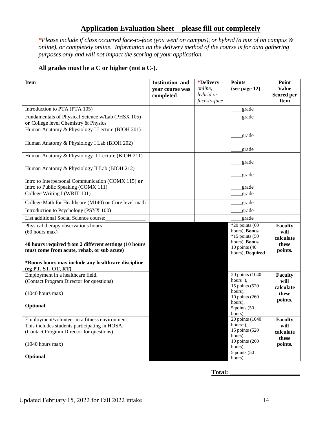## **Application Evaluation Sheet – please fill out completely**

*\*Please include if class occurred face-to-face (you went on campus), or hybrid (a mix of on campus & online), or completely online. Information on the delivery method of the course is for data gathering purposes only and will not impact the scoring of your application.* 

#### **All grades must be a C or higher (not a C-).**

| <b>Item</b>                                                                                                                                                       | <b>Institution and</b><br>year course was<br>completed | *Delivery-<br>online,<br>hybrid or<br>face-to-face | <b>Points</b><br>(see page 12)                                                                                 | Point<br><b>Value</b><br><b>Scored per</b><br><b>Item</b> |
|-------------------------------------------------------------------------------------------------------------------------------------------------------------------|--------------------------------------------------------|----------------------------------------------------|----------------------------------------------------------------------------------------------------------------|-----------------------------------------------------------|
| Introduction to PTA (PTA 105)                                                                                                                                     |                                                        |                                                    | grade                                                                                                          |                                                           |
| Fundamentals of Physical Science w/Lab (PHSX 105)<br>or College level Chemistry & Physics                                                                         |                                                        |                                                    | grade                                                                                                          |                                                           |
| Human Anatomy & Physiology I Lecture (BIOH 201)                                                                                                                   |                                                        |                                                    | grade                                                                                                          |                                                           |
| Human Anatomy & Physiology I Lab (BIOH 202)                                                                                                                       |                                                        |                                                    | grade                                                                                                          |                                                           |
| Human Anatomy & Physiology II Lecture (BIOH 211)                                                                                                                  |                                                        |                                                    | grade                                                                                                          |                                                           |
| Human Anatomy & Physiology II Lab (BIOH 212)                                                                                                                      |                                                        |                                                    | grade                                                                                                          |                                                           |
| Intro to Interpersonal Communication (COMX 115) or<br>Intro to Public Speaking (COMX 111)                                                                         |                                                        |                                                    | grade                                                                                                          |                                                           |
| College Writing I (WRIT 101)                                                                                                                                      |                                                        |                                                    | grade                                                                                                          |                                                           |
| College Math for Healthcare (M140) or Core level math                                                                                                             |                                                        |                                                    | grade                                                                                                          |                                                           |
| Introduction to Psychology (PSYX 100)                                                                                                                             |                                                        |                                                    | grade                                                                                                          |                                                           |
| List additional Social Science course:                                                                                                                            |                                                        |                                                    | grade                                                                                                          |                                                           |
| Physical therapy observations hours<br>$(60$ hours max)<br>40 hours required from 2 different settings (10 hours<br>must come from acute, rehab, or sub acute)    |                                                        |                                                    | $*20$ points (60<br>hours), Bonus<br>*15 points (50<br>hours), Bonus<br>10 points $(40)$<br>hours), Required   | <b>Faculty</b><br>will<br>calculate<br>these<br>points.   |
| *Bonus hours may include any healthcare discipline<br>(eg PT, ST, OT, RT)                                                                                         |                                                        |                                                    |                                                                                                                |                                                           |
| Employment in a healthcare field.<br>(Contact Program Director for questions)<br>$(1040$ hours max)                                                               |                                                        |                                                    | 20 points (1040)<br>$hours+$ ),<br>15 points (520<br>hours),                                                   | <b>Faculty</b><br>will<br>calculate                       |
| Optional                                                                                                                                                          |                                                        |                                                    | 10 points (260)<br>hours),<br>5 points (50<br>hours)                                                           | these<br>points.                                          |
| Employment/volunteer in a fitness environment.<br>This includes students participating in HOSA.<br>(Contact Program Director for questions)<br>$(1040$ hours max) |                                                        |                                                    | 20 points (1040<br>$hours+),$<br>15 points (520)<br>hours),<br>10 points (260)<br>hours),<br>$5$ points $(50)$ | <b>Faculty</b><br>will<br>calculate<br>these<br>points.   |
| Optional                                                                                                                                                          |                                                        |                                                    | hours)                                                                                                         |                                                           |

**Total: \_\_\_\_\_\_\_\_\_\_\_\_\_\_\_\_\_\_\_\_\_\_**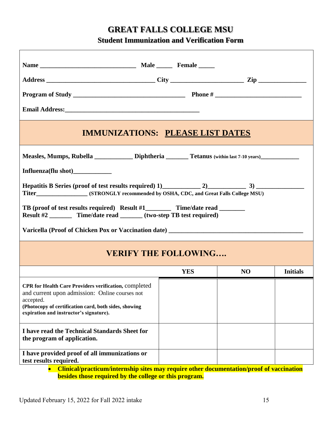## **GREAT FALLS COLLEGE MSU**

**Student Immunization and Verification Form**

| <b>IMMUNIZATIONS: PLEASE LIST DATES</b>                                                                                                                                                                                                                                                                                               |            |                |                 |
|---------------------------------------------------------------------------------------------------------------------------------------------------------------------------------------------------------------------------------------------------------------------------------------------------------------------------------------|------------|----------------|-----------------|
| Measles, Mumps, Rubella ____________ Diphtheria _______ Tetanus (within last 7-10 years)___________<br>Influenza(flu shot)_____________<br>TB (proof of test results required) Result #1___________ Time/date read ________<br>Result #2 __________ Time/date read _______ (two-step TB test required)<br><b>VERIFY THE FOLLOWING</b> |            |                |                 |
|                                                                                                                                                                                                                                                                                                                                       | <b>YES</b> | N <sub>O</sub> | <b>Initials</b> |
| CPR for Health Care Providers verification, completed<br>and current upon admission: Online courses not<br>accepted.<br>(Photocopy of certification card, both sides, showing<br>expiration and instructor's signature).                                                                                                              |            |                |                 |
| I have read the Technical Standards Sheet for<br>the program of application.                                                                                                                                                                                                                                                          |            |                |                 |
| I have provided proof of all immunizations or<br>test results required.<br>Clinical/practicum/internship sites may require other documentation/proof of vaccination                                                                                                                                                                   |            |                |                 |

**besides those required by the college or this program.**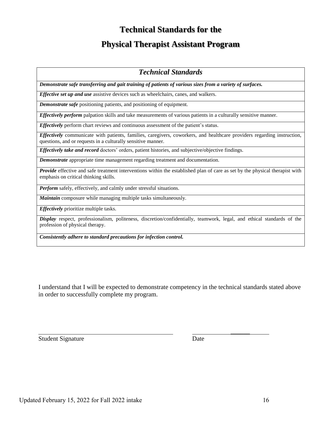## **Technical Standards for the**

# **Physical Therapist Assistant Program**

#### *Technical Standards*

*Demonstrate safe transferring and gait training of patients of various sizes from a variety of surfaces.* 

*Effective set up and use* assistive devices such as wheelchairs, canes, and walkers.

*Demonstrate safe* positioning patients, and positioning of equipment.

*Effectively perform* palpation skills and take measurements of various patients in a culturally sensitive manner.

*Effectively* perform chart reviews and continuous assessment of the patient's status.

*Effectively* communicate with patients, families, caregivers, coworkers, and healthcare providers regarding instruction, questions, and or requests in a culturally sensitive manner.

*Effectively take and record* doctors' orders, patient histories, and subjective/objective findings.

*Demonstrate* appropriate time management regarding treatment and documentation.

*Provide* effective and safe treatment interventions within the established plan of care as set by the physical therapist with emphasis on critical thinking skills.

**Perform** safely, effectively, and calmly under stressful situations.

*Maintain* composure while managing multiple tasks simultaneously.

*Effectively* prioritize multiple tasks.

*Display* respect, professionalism, politeness, discretion/confidentially, teamwork, legal, and ethical standards of the profession of physical therapy.

*Consistently adhere to standard precautions for infection control.* 

I understand that I will be expected to demonstrate competency in the technical standards stated above in order to successfully complete my program.

Student Signature Date

 $\frac{1}{2}$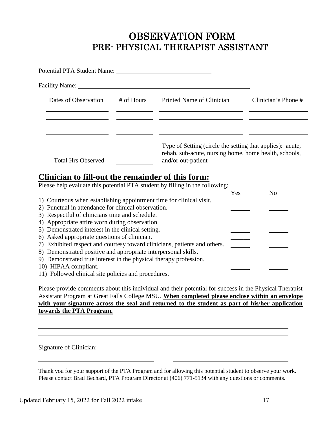# OBSERVATION FORM PRE- PHYSICAL THERAPIST ASSISTANT

| Potential PTA Student Name:                                                                                                                                                                                                    |            |                                                                                                                                          |                     |
|--------------------------------------------------------------------------------------------------------------------------------------------------------------------------------------------------------------------------------|------------|------------------------------------------------------------------------------------------------------------------------------------------|---------------------|
| Facility Name: 1988. The Second Second Second Second Second Second Second Second Second Second Second Second Second Second Second Second Second Second Second Second Second Second Second Second Second Second Second Second S |            |                                                                                                                                          |                     |
| Dates of Observation                                                                                                                                                                                                           | # of Hours | Printed Name of Clinician                                                                                                                | Clinician's Phone # |
|                                                                                                                                                                                                                                |            |                                                                                                                                          |                     |
|                                                                                                                                                                                                                                |            |                                                                                                                                          |                     |
| <b>Total Hrs Observed</b>                                                                                                                                                                                                      |            | Type of Setting (circle the setting that applies): acute,<br>rehab, sub-acute, nursing home, home health, schools,<br>and/or out-patient |                     |

# **Clinician to fill-out the remainder of this form:**

Please help evaluate this potential PTA student by filling in the following:

|                                                                           | Yes | No |
|---------------------------------------------------------------------------|-----|----|
| 1) Courteous when establishing appointment time for clinical visit.       |     |    |
| 2) Punctual in attendance for clinical observation.                       |     |    |
| 3) Respectful of clinicians time and schedule.                            |     |    |
| 4) Appropriate attire worn during observation.                            |     |    |
| 5) Demonstrated interest in the clinical setting.                         |     |    |
| 6) Asked appropriate questions of clinician.                              |     |    |
| 7) Exhibited respect and courtesy toward clinicians, patients and others. |     |    |
| 8) Demonstrated positive and appropriate interpersonal skills.            |     |    |
| 9) Demonstrated true interest in the physical therapy profession.         |     |    |
| 10) HIPAA compliant.                                                      |     |    |
| 11) Followed clinical site policies and procedures.                       |     |    |

Please provide comments about this individual and their potential for success in the Physical Therapist Assistant Program at Great Falls College MSU. **When completed please enclose within an envelope with your signature across the seal and returned to the student as part of his/her application towards the PTA Program.**

Signature of Clinician:

Thank you for your support of the PTA Program and for allowing this potential student to observe your work. Please contact Brad Bechard, PTA Program Director at (406) 771-5134 with any questions or comments.

l,